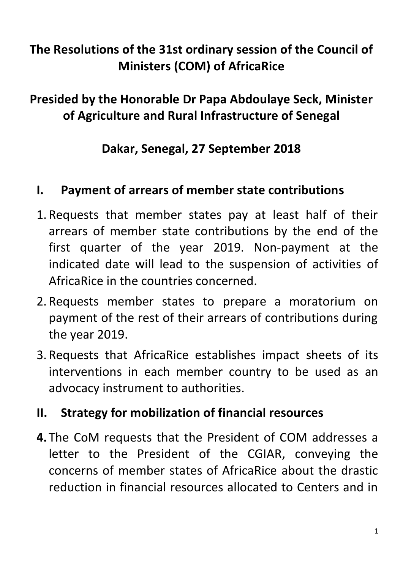# **The Resolutions of the 31st ordinary session of the Council of Ministers (COM) of AfricaRice**

## **Presided by the Honorable Dr Papa Abdoulaye Seck, Minister of Agriculture and Rural Infrastructure of Senegal**

#### **Dakar, Senegal, 27 September 2018**

#### **I. Payment of arrears of member state contributions**

- 1. Requests that member states pay at least half of their arrears of member state contributions by the end of the first quarter of the year 2019. Non-payment at the indicated date will lead to the suspension of activities of AfricaRice in the countries concerned.
- 2. Requests member states to prepare a moratorium on payment of the rest of their arrears of contributions during the year 2019.
- 3. Requests that AfricaRice establishes impact sheets of its interventions in each member country to be used as an advocacy instrument to authorities.

#### **II. Strategy for mobilization of financial resources**

**4.** The CoM requests that the President of COM addresses a letter to the President of the CGIAR, conveying the concerns of member states of AfricaRice about the drastic reduction in financial resources allocated to Centers and in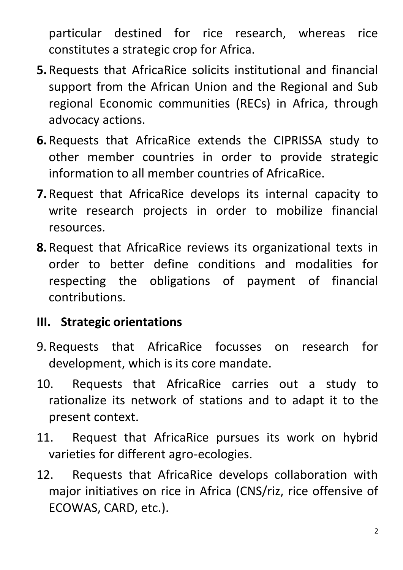particular destined for rice research, whereas rice constitutes a strategic crop for Africa.

- **5.**Requests that AfricaRice solicits institutional and financial support from the African Union and the Regional and Sub regional Economic communities (RECs) in Africa, through advocacy actions.
- **6.**Requests that AfricaRice extends the CIPRISSA study to other member countries in order to provide strategic information to all member countries of AfricaRice.
- **7.**Request that AfricaRice develops its internal capacity to write research projects in order to mobilize financial resources.
- **8.**Request that AfricaRice reviews its organizational texts in order to better define conditions and modalities for respecting the obligations of payment of financial contributions.

#### **III. Strategic orientations**

- 9. Requests that AfricaRice focusses on research for development, which is its core mandate.
- 10. Requests that AfricaRice carries out a study to rationalize its network of stations and to adapt it to the present context.
- 11. Request that AfricaRice pursues its work on hybrid varieties for different agro-ecologies.
- 12. Requests that AfricaRice develops collaboration with major initiatives on rice in Africa (CNS/riz, rice offensive of ECOWAS, CARD, etc.).